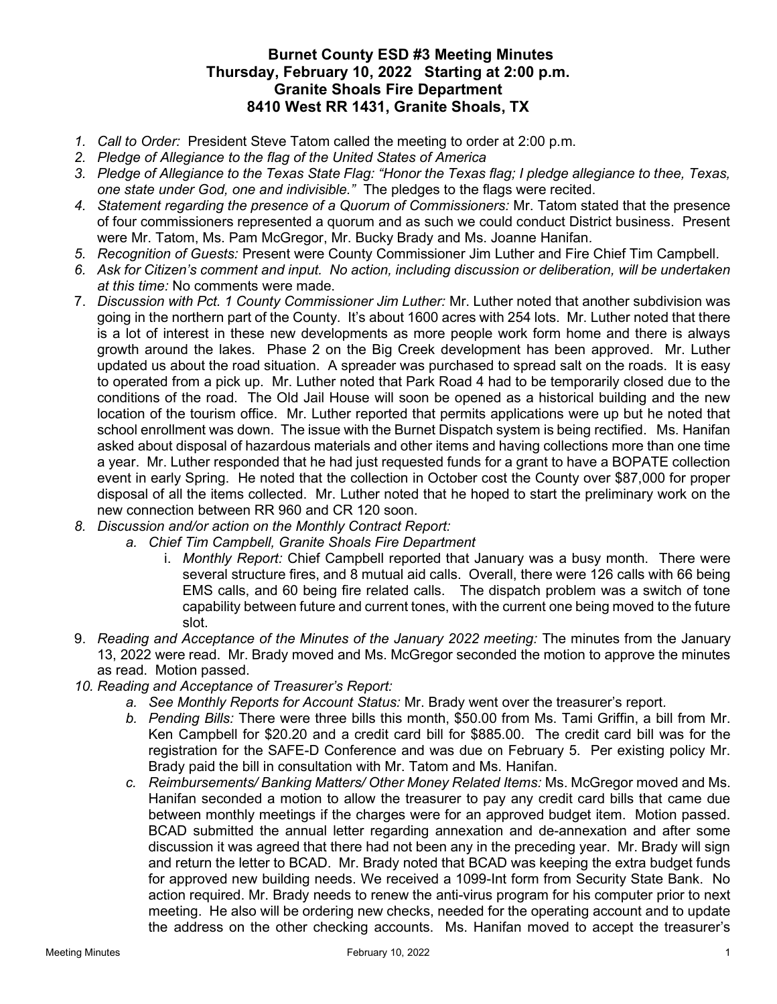## Burnet County ESD #3 Meeting Minutes Thursday, February 10, 2022 Starting at 2:00 p.m. Granite Shoals Fire Department 8410 West RR 1431, Granite Shoals, TX

- 1. Call to Order: President Steve Tatom called the meeting to order at 2:00 p.m.
- 2. Pledge of Allegiance to the flag of the United States of America
- 3. Pledge of Allegiance to the Texas State Flag: "Honor the Texas flag; I pledge allegiance to thee, Texas, one state under God, one and indivisible." The pledges to the flags were recited.
- 4. Statement regarding the presence of a Quorum of Commissioners: Mr. Tatom stated that the presence of four commissioners represented a quorum and as such we could conduct District business. Present were Mr. Tatom, Ms. Pam McGregor, Mr. Bucky Brady and Ms. Joanne Hanifan.
- 5. Recognition of Guests: Present were County Commissioner Jim Luther and Fire Chief Tim Campbell.
- 6. Ask for Citizen's comment and input. No action, including discussion or deliberation, will be undertaken at this time: No comments were made.
- 7. Discussion with Pct. 1 County Commissioner Jim Luther: Mr. Luther noted that another subdivision was going in the northern part of the County. It's about 1600 acres with 254 lots. Mr. Luther noted that there is a lot of interest in these new developments as more people work form home and there is always growth around the lakes. Phase 2 on the Big Creek development has been approved. Mr. Luther updated us about the road situation. A spreader was purchased to spread salt on the roads. It is easy to operated from a pick up. Mr. Luther noted that Park Road 4 had to be temporarily closed due to the conditions of the road. The Old Jail House will soon be opened as a historical building and the new location of the tourism office. Mr. Luther reported that permits applications were up but he noted that school enrollment was down. The issue with the Burnet Dispatch system is being rectified. Ms. Hanifan asked about disposal of hazardous materials and other items and having collections more than one time a year. Mr. Luther responded that he had just requested funds for a grant to have a BOPATE collection event in early Spring. He noted that the collection in October cost the County over \$87,000 for proper disposal of all the items collected. Mr. Luther noted that he hoped to start the preliminary work on the new connection between RR 960 and CR 120 soon.
- 8. Discussion and/or action on the Monthly Contract Report:
	- a. Chief Tim Campbell, Granite Shoals Fire Department
		- i. Monthly Report: Chief Campbell reported that January was a busy month. There were several structure fires, and 8 mutual aid calls. Overall, there were 126 calls with 66 being EMS calls, and 60 being fire related calls. The dispatch problem was a switch of tone capability between future and current tones, with the current one being moved to the future slot.
- 9. Reading and Acceptance of the Minutes of the January 2022 meeting: The minutes from the January 13, 2022 were read. Mr. Brady moved and Ms. McGregor seconded the motion to approve the minutes as read. Motion passed.
- 10. Reading and Acceptance of Treasurer's Report:
	- a. See Monthly Reports for Account Status: Mr. Brady went over the treasurer's report.
	- b. Pending Bills: There were three bills this month, \$50.00 from Ms. Tami Griffin, a bill from Mr. Ken Campbell for \$20.20 and a credit card bill for \$885.00. The credit card bill was for the registration for the SAFE-D Conference and was due on February 5. Per existing policy Mr. Brady paid the bill in consultation with Mr. Tatom and Ms. Hanifan.
	- c. Reimbursements/ Banking Matters/ Other Money Related Items: Ms. McGregor moved and Ms. Hanifan seconded a motion to allow the treasurer to pay any credit card bills that came due between monthly meetings if the charges were for an approved budget item. Motion passed. BCAD submitted the annual letter regarding annexation and de-annexation and after some discussion it was agreed that there had not been any in the preceding year. Mr. Brady will sign and return the letter to BCAD. Mr. Brady noted that BCAD was keeping the extra budget funds for approved new building needs. We received a 1099-Int form from Security State Bank. No action required. Mr. Brady needs to renew the anti-virus program for his computer prior to next meeting. He also will be ordering new checks, needed for the operating account and to update the address on the other checking accounts. Ms. Hanifan moved to accept the treasurer's